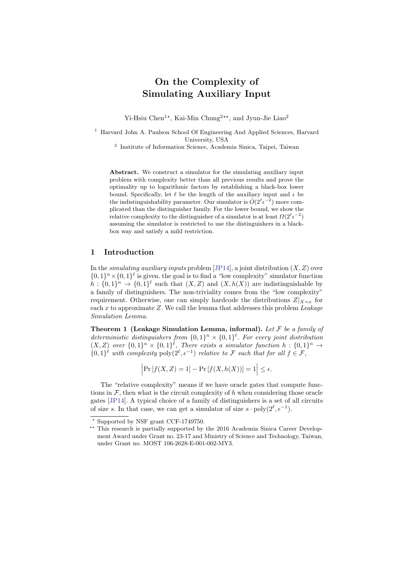# On the Complexity of Simulating Auxiliary Input

Yi-Hsiu Chen<sup>1\*</sup>, Kai-Min Chung<sup>2\*\*</sup>, and Jyun-Jie Liao<sup>2</sup>

<sup>1</sup> Harvard John A. Paulson School Of Engineering And Applied Sciences, Harvard University, USA

2 Institute of Information Science, Academia Sinica, Taipei, Taiwan

Abstract. We construct a simulator for the simulating auxiliary input problem with complexity better than all previous results and prove the optimality up to logarithmic factors by establishing a black-box lower bound. Specifically, let  $\ell$  be the length of the auxiliary input and  $\epsilon$  be the indistinguishability parameter. Our simulator is  $O(2^{\ell} \epsilon^{-2})$  more complicated than the distinguisher family. For the lower bound, we show the relative complexity to the distinguisher of a simulator is at least  $\Omega(2^{\ell} \epsilon^{-2})$ assuming the simulator is restricted to use the distinguishers in a blackbox way and satisfy a mild restriction.

# 1 Introduction

In the *simulating auxiliary inputs* problem [\[JP14\]](#page-18-0), a joint distribution  $(X, Z)$  over  $\{0,1\}^n \times \{0,1\}^{\ell}$  is given. the goal is to find a "low complexity" simulator function  $h: \{0,1\}^n \to \{0,1\}^{\ell}$  such that  $(X,Z)$  and  $(X,h(X))$  are indistinguishable by a family of distinguishers. The non-triviality comes from the "low complexity" requirement. Otherwise, one can simply hardcode the distributions  $Z|_{X=x}$  for each  $x$  to approximate  $Z$ . We call the lemma that addresses this problem Leakage Simulation Lemma.

<span id="page-0-0"></span>**Theorem 1 (Leakage Simulation Lemma, informal).** Let  $\mathcal{F}$  be a family of deterministic distinguishers from  $\{0,1\}^n \times \{0,1\}^{\ell}$ . For every joint distribution  $(X,Z)$  over  $\{0,1\}^n \times \{0,1\}^{\ell}$ , There exists a simulator function  $h: \{0,1\}^n \to$  $\{0,1\}^{\ell}$  with complexity  $\text{poly}(2^{\ell}, \epsilon^{-1})$  relative to F such that for all  $f \in \mathcal{F}$ ,

 $\left|\Pr[f(X, Z) = 1] - \Pr[f(X, h(X))] = 1\right| \le \epsilon.$ 

The "relative complexity" means if we have oracle gates that compute functions in  $\mathcal{F}$ , then what is the circuit complexity of h when considering those oracle gates [\[JP14\]](#page-18-0). A typical choice of a family of distinguishers is a set of all circuits of size s. In that case, we can get a simulator of size  $s \cdot \text{poly}(2^{\ell}, \epsilon^{-1})$ .

<sup>?</sup> Supported by NSF grant CCF-1749750.

<sup>\*\*</sup> This research is partially supported by the 2016 Academia Sinica Career Development Award under Grant no. 23-17 and Ministry of Science and Technology, Taiwan, under Grant no. MOST 106-2628-E-001-002-MY3.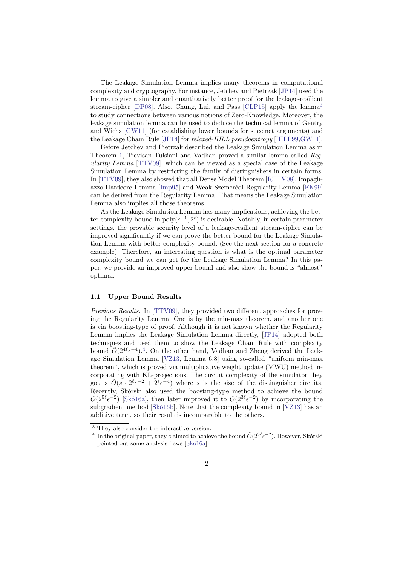The Leakage Simulation Lemma implies many theorems in computational complexity and cryptography. For instance, Jetchev and Pietrzak [\[JP14\]](#page-18-0) used the lemma to give a simpler and quantitatively better proof for the leakage-resilient stream-cipher [\[DP08\]](#page-18-1). Also, Chung, Lui, and Pass [\[CLP15\]](#page-18-2) apply the lemma[3](#page-1-0) to study connections between various notions of Zero-Knowledge. Moreover, the leakage simulation lemma can be used to deduce the technical lemma of Gentry and Wichs [\[GW11\]](#page-18-3) (for establishing lower bounds for succinct arguments) and the Leakage Chain Rule [\[JP14\]](#page-18-0) for relaxed-HILL pseudoentropy [\[HILL99](#page-18-4)[,GW11\]](#page-18-3).

Before Jetchev and Pietrzak described the Leakage Simulation Lemma as in Theorem [1,](#page-0-0) Trevisan Tulsiani and Vadhan proved a similar lemma called Regularity Lemma [\[TTV09\]](#page-19-0), which can be viewed as a special case of the Leakage Simulation Lemma by restricting the family of distinguishers in certain forms. In [\[TTV09\]](#page-19-0), they also showed that all Dense Model Theorem [\[RTTV08\]](#page-19-1), Impagli-azzo Hardcore Lemma [\[Imp95\]](#page-18-5) and Weak Szemerédi Regularity Lemma [\[FK99\]](#page-18-6) can be derived from the Regularity Lemma. That means the Leakage Simulation Lemma also implies all those theorems.

As the Leakage Simulation Lemma has many implications, achieving the better complexity bound in  $poly(\epsilon^{-1}, 2^{\ell})$  is desirable. Notably, in certain parameter settings, the provable security level of a leakage-resilient stream-cipher can be improved significantly if we can prove the better bound for the Leakage Simulation Lemma with better complexity bound. (See the next section for a concrete example). Therefore, an interesting question is what is the optimal parameter complexity bound we can get for the Leakage Simulation Lemma? In this paper, we provide an improved upper bound and also show the bound is "almost" optimal.

## 1.1 Upper Bound Results

Previous Results. In [\[TTV09\]](#page-19-0), they provided two different approaches for proving the Regularity Lemma. One is by the min-max theorem, and another one is via boosting-type of proof. Although it is not known whether the Regularity Lemma implies the Leakage Simulation Lemma directly, [\[JP14\]](#page-18-0) adopted both techniques and used them to show the Leakage Chain Rule with complexity bound  $O(2^{4\ell} \epsilon^{-4})$  $O(2^{4\ell} \epsilon^{-4})$  $O(2^{4\ell} \epsilon^{-4})$ .<sup>4</sup>. On the other hand, Vadhan and Zheng derived the Leakage Simulation Lemma [\[VZ13,](#page-19-2) Lemma 6.8] using so-called "uniform min-max theorem", which is proved via multiplicative weight update (MWU) method incorporating with KL-projections. The circuit complexity of the simulator they got is  $\tilde{O}(\tilde{s} \cdot 2^{\ell} \epsilon^{-2} + 2^{\ell} \epsilon^{-4})$  where s is the size of the distinguisher circuits. Recently, Skórski also used the boosting-type method to achieve the bound  $\tilde{O}(2^{5\ell} \epsilon^{-2})$  [Skó16a], then later improved it to  $\tilde{O}(2^{3\ell} \epsilon^{-2})$  by incorporating the subgradient method [Skó16b]. Note that the complexity bound in  $[VZ13]$  has an additive term, so their result is incomparable to the others.

<span id="page-1-0"></span> $^{\rm 3}$  They also consider the interactive version.

<span id="page-1-1"></span><sup>&</sup>lt;sup>4</sup> In the original paper, they claimed to achieve the bound  $\tilde{O}(2^{3\ell} \epsilon^{-2})$ . However, Skórski pointed out some analysis flaws [Skó16a].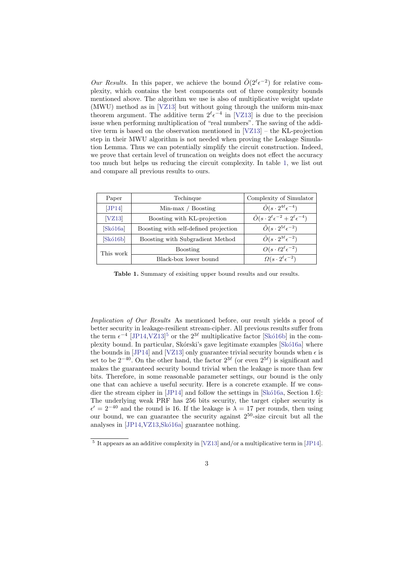Our Results. In this paper, we achieve the bound  $\tilde{O}(2^{\ell} \epsilon^{-2})$  for relative complexity, which contains the best components out of three complexity bounds mentioned above. The algorithm we use is also of multiplicative weight update (MWU) method as in [\[VZ13\]](#page-19-2) but without going through the uniform min-max theorem argument. The additive term  $2^{\ell} \epsilon^{-4}$  in [\[VZ13\]](#page-19-2) is due to the precision issue when performing multiplication of "real numbers". The saving of the additive term is based on the observation mentioned in [\[VZ13\]](#page-19-2) – the KL-projection step in their MWU algorithm is not needed when proving the Leakage Simulation Lemma. Thus we can potentially simplify the circuit construction. Indeed, we prove that certain level of truncation on weights does not effect the accuracy too much but helps us reducing the circuit complexity. In table [1,](#page-2-0) we list out and compare all previous results to ours.

| Paper     | Techinque                             | Complexity of Simulator                                             |
|-----------|---------------------------------------|---------------------------------------------------------------------|
| [JP14]    | $Min-max / Boosting$                  | $\tilde{O}(s\cdot 2^{4\ell}\epsilon^{-4})$                          |
| [VZ13]    | Boosting with KL-projection           | $\tilde{O}(s\cdot 2^{\ell} \epsilon^{-2} + 2^{\ell} \epsilon^{-4})$ |
| Skó16a    | Boosting with self-defined projection | $\tilde{O}(s\cdot 2^{5\ell}\epsilon^{-2})$                          |
| Skó16b    | Boosting with Subgradient Method      | $\tilde{O}(s\cdot 2^{3\ell}\epsilon^{-2})$                          |
| This work | <b>Boosting</b>                       | $O(s \cdot \ell 2^{\ell} \epsilon^{-2})$                            |
|           | Black-box lower bound                 | $\Omega(s\cdot 2^{\ell}\epsilon^{-2})$                              |

<span id="page-2-0"></span>Table 1. Summary of exisiting upper bound results and our results.

Implication of Our Results As mentioned before, our result yields a proof of better security in leakage-resilient stream-cipher. All previous results suffer from the term  $\epsilon^{-4}$  [\[JP14,](#page-18-0)[VZ13\]](#page-19-2)<sup>[5](#page-2-1)</sup> or the  $2^{3\ell}$  multiplicative factor [Skó16b] in the complexity bound. In particular, Skórski's gave legitimate examples [Skó16a] where the bounds in [\[JP14\]](#page-18-0) and [\[VZ13\]](#page-19-2) only guarantee trivial security bounds when  $\epsilon$  is set to be  $2^{-40}$ . On the other hand, the factor  $2^{3\ell}$  (or even  $2^{5\ell}$ ) is significant and makes the guaranteed security bound trivial when the leakage is more than few bits. Therefore, in some reasonable parameter settings, our bound is the only one that can achieve a useful security. Here is a concrete example. If we consdier the stream cipher in  $[JP14]$  and follow the settings in  $[Sk\acute{o}16a, Section 1.6]$ : The underlying weak PRF has 256 bits security, the target cipher security is  $\epsilon' = 2^{-40}$  and the round is 16. If the leakage is  $\lambda = 17$  per rounds, then using our bound, we can guarantee the security against  $2^{50}$ -size circuit but all the analyses in  $[JP14,VZ13,Sk616a]$  $[JP14,VZ13,Sk616a]$  $[JP14,VZ13,Sk616a]$  guarantee nothing.

<span id="page-2-1"></span><sup>&</sup>lt;sup>5</sup> It appears as an additive complexity in [\[VZ13\]](#page-19-2) and/or a multiplicative term in [\[JP14\]](#page-18-0).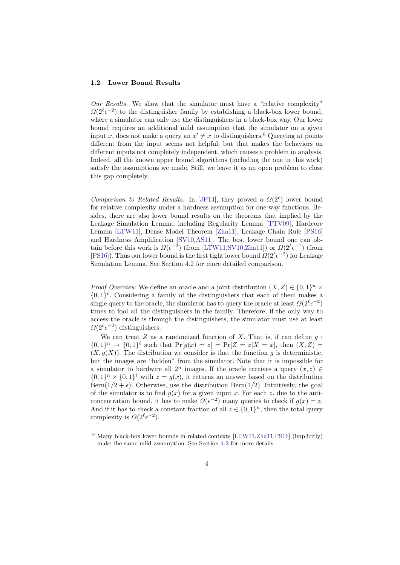#### 1.2 Lower Bound Results

Our Results. We show that the simulator must have a "relative complexity"  $\Omega(2^{\ell} \epsilon^{-2})$  to the distinguisher family by establishing a black-box lower bound, where a simulator can only use the distinguishers in a black-box way. Our lower bound requires an additional mild assumption that the simulator on a given input x, does not make a query an  $x' \neq x$  to distinguishers.<sup>[6](#page-3-0)</sup> Querying at points different from the input seems not helpful, but that makes the behaviors on different inputs not completely independent, which causes a problem in analysis. Indeed, all the known upper bound algorithms (including the one in this work) satisfy the assumptions we made. Still, we leave it as an open problem to close this gap completely.

Comparison to Related Results. In [\[JP14\]](#page-18-0), they proved a  $\Omega(2^{\ell})$  lower bound for relative complexity under a hardness assumption for one-way functions. Besides, there are also lower bound results on the theorems that implied by the Leakage Simulation Lemma, including Regularity Lemma [\[TTV09\]](#page-19-0), Hardcore Lemma [\[LTW11\]](#page-19-5), Dense Model Theorem [\[Zha11\]](#page-19-6), Leakage Chain Rule [\[PS16\]](#page-19-7) and Hardness Amplification [\[SV10,](#page-19-8)[AS11\]](#page-17-0). The best lower bound one can obtain before this work is  $\Omega(\epsilon^{-2})$  (from [\[LTW11](#page-19-5)[,SV10,](#page-19-8)[Zha11\]](#page-19-6)) or  $\Omega(2^{\ell} \epsilon^{-1})$  (from [\[PS16\]](#page-19-7)). Thus our lower bound is the first tight lower bound  $\Omega(2^{\ell} \epsilon^{-2})$  for Leakage Simulation Lemma. See Section [4.2](#page-12-0) for more detailed comparison.

*Proof Overview* We define an oracle and a joint distribution  $(X, Z) \in \{0, 1\}^n$  ×  $\{0,1\}^{\ell}$ . Considering a family of the distinguishers that each of them makes a single query to the oracle, the simulator has to query the oracle at least  $\Omega(2^{\ell} \epsilon^{-2})$ times to fool all the distinguishers in the family. Therefore, if the only way to access the oracle is through the distinguishers, the simulator must use at least  $\Omega(2^{\ell} \epsilon^{-2})$  distinguishers.

We can treat  $Z$  as a randomized function of  $X$ . That is, if can define  $q$ :  ${0,1}^n \to {0,1}^{\ell}$  such that  $Pr[g(x) = z] = Pr[Z = z | X = x]$ , then  $(X, Z) =$  $(X, g(X))$ . The distribution we consider is that the function g is deterministic, but the images are "hidden" from the simulator. Note that it is impossible for a simulator to hardwire all  $2^n$  images. If the oracle receives a query  $(x, z) \in$  $\{0,1\}^n \times \{0,1\}^{\ell}$  with  $z = g(x)$ , it returns an answer based on the distribution  $\text{Bern}(1/2 + \epsilon)$ . Otherwise, use the distribution Bern(1/2). Intuitively, the goal of the simulator is to find  $q(x)$  for a given input x. For each z, due to the anticoncentration bound, it has to make  $\Omega(\epsilon^{-2})$  many queries to check if  $g(x) = z$ . And if it has to check a constant fraction of all  $z \in \{0,1\}^n$ , then the total query complexity is  $\Omega(2^{\ell} \epsilon^{-2})$ .

<span id="page-3-0"></span> $6$  Many black-box lower bounds in related contexts [\[LTW11,](#page-19-5)[Zha11](#page-19-6)[,PS16\]](#page-19-7) (implicitly) make the same mild assumption. See Section [4.2](#page-12-0) for more details.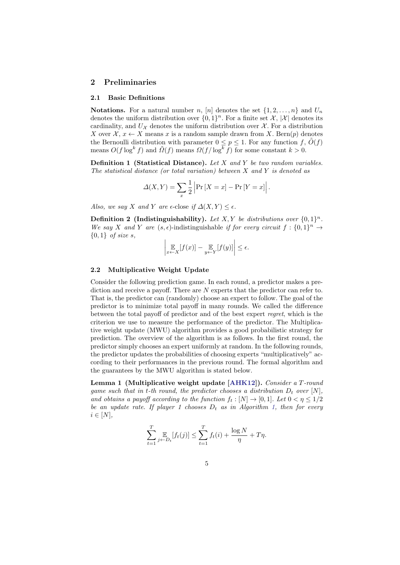## 2 Preliminaries

#### 2.1 Basic Definitions

**Notations.** For a natural number n, [n] denotes the set  $\{1, 2, \ldots, n\}$  and  $U_n$ denotes the uniform distribution over  $\{0,1\}^n$ . For a finite set X, |X| denotes its cardinality, and  $U_{\mathcal{X}}$  denotes the uniform distribution over  $\mathcal{X}$ . For a distribution X over  $\mathcal{X}, x \leftarrow X$  means x is a random sample drawn from X. Bern $(p)$  denotes the Bernoulli distribution with parameter  $0 \leq p \leq 1$ . For any function f,  $\tilde{O}(f)$ means  $O(f \log^k f)$  and  $\tilde{O}(f)$  means  $\Omega(f/\log^k f)$  for some constant  $k > 0$ .

**Definition 1 (Statistical Distance).** Let  $X$  and  $Y$  be two random variables. The statistical distance (or total variation) between X and Y is denoted as

$$
\Delta(X,Y) = \sum_{x} \frac{1}{2} \left| \Pr\left[X = x\right] - \Pr\left[Y = x\right] \right|.
$$

Also, we say X and Y are  $\epsilon$ -close if  $\Delta(X, Y) \leq \epsilon$ .

**Definition 2** (Indistinguishability). Let X, Y be distributions over  $\{0,1\}^n$ . We say X and Y are  $(s, \epsilon)$ -indistinguishable if for every circuit  $f : \{0,1\}^n \to$  ${0,1}$  of size s,

$$
\left|\mathop{\mathbb{E}}_{x \leftarrow X}[f(x)] - \mathop{\mathbb{E}}_{y \leftarrow Y}[f(y)]\right| \le \epsilon.
$$

#### 2.2 Multiplicative Weight Update

Consider the following prediction game. In each round, a predictor makes a prediction and receive a payoff. There are N experts that the predictor can refer to. That is, the predictor can (randomly) choose an expert to follow. The goal of the predictor is to minimize total payoff in many rounds. We called the difference between the total payoff of predictor and of the best expert regret, which is the criterion we use to measure the performance of the predictor. The Multiplicative weight update (MWU) algorithm provides a good probabilistic strategy for prediction. The overview of the algorithm is as follows. In the first round, the predictor simply chooses an expert uniformly at random. In the following rounds, the predictor updates the probabilities of choosing experts "multiplicatively" according to their performances in the previous round. The formal algorithm and the guarantees by the MWU algorithm is stated below.

Lemma 1 (Multiplicative weight update [\[AHK12\]](#page-17-1)). Consider a T-round game such that in t-th round, the predictor chooses a distribution  $D_t$  over  $[N]$ , and obtains a payoff according to the function  $f_t : [N] \to [0,1]$ . Let  $0 < \eta \leq 1/2$ be an update rate. If player 1 chooses  $D_t$  as in Algorithm [1,](#page-5-0) then for every  $i \in [N],$ 

$$
\sum_{t=1}^{T} \mathop{\mathbb{E}}_{j \leftarrow D_t} [f_t(j)] \le \sum_{t=1}^{T} f_t(i) + \frac{\log N}{\eta} + T\eta.
$$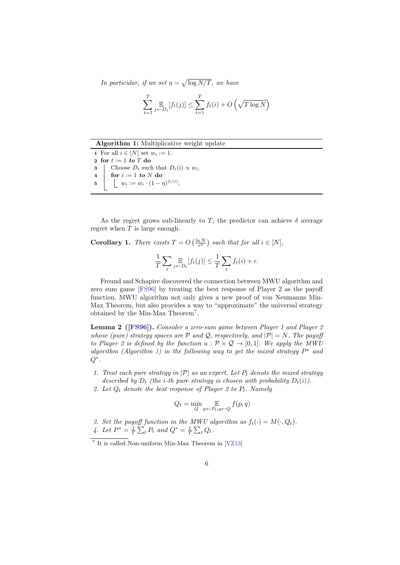In particular, if we set  $\eta = \sqrt{\log N/T}$ , we have

$$
\sum_{t=1}^{T} \mathop{\mathbb{E}}_{j \leftarrow D_t} [f_t(j)] \le \sum_{t=1}^{T} f_t(i) + O\left(\sqrt{T \log N}\right)
$$

<span id="page-5-0"></span>Algorithm 1: Multiplicative weight update

1 For all  $i \in [N]$  set  $w_i := 1$ . 2 for  $t := 1$  to T do 3 | Choose  $D_t$  such that  $D_t(i) \propto w_i$ . 4 for  $i := 1$  to N do 5  $\vert \quad \vert \quad w_i := w_i \cdot (1-\eta)^{f_t(i)};$ 

As the regret grows sub-linearly to T, the predictor can achieve  $\delta$  average regret when  $T$  is large enough.

<span id="page-5-3"></span>**Corollary 1.** There exists  $T = O\left(\frac{\ln N}{\epsilon^2}\right)$  such that for all  $i \in [N]$ ,

$$
\frac{1}{T} \sum_{t} \mathop{\mathbb{E}}_{j \leftarrow D_t} [f_t(j)] \le \frac{1}{T} \sum_{t} f_t(i) + \epsilon.
$$

Freund and Schapire discovered the connection between MWU algorithm and zero sum game [\[FS96\]](#page-18-7) by treating the best response of Player 2 as the payoff function. MWU algorithm not only gives a new proof of von Neumanns Min-Max Theorem, but also provides a way to "approximate" the universal strategy obtained by the Min-Max Theorem[7](#page-5-1) .

<span id="page-5-2"></span>**Lemma 2** ([\[FS96\]](#page-18-7)). Consider a zero-sum game between Player 1 and Player 2 whose (pure) strategy spaces are  $P$  and  $Q$ , respectively, and  $|P| = N$ . The payoff to Player 2 is defined by the function  $u : \mathcal{P} \times \mathcal{Q} \rightarrow [0, 1]$ . We apply the MWU algorithm (Algorithm [1\)](#page-5-0) in the following way to get the mixed strategy  $P^*$  and  $Q^*$  .

- 1. Treat each pure strategy in  $|\mathcal{P}|$  as an expert. Let  $P_t$  denote the mixed strategy described by  $D_t$  (the *i*-th pure strategy is chosen with probability  $D_t(i)$ ).
- 2. Let  $Q_t$  denote the best response of Player 2 to  $P_t$ . Namely

$$
Q_t = \min_{Q} \mathop{\mathbb{E}}_{p \leftarrow P_t, q \leftarrow Q} f(p, q)
$$

3. Set the payoff function in the MWU algorithm as  $f_t(\cdot) = M(\cdot, Q_t)$ .

4. Let  $P^* = \frac{1}{T} \sum_t P_t$  and  $Q^* = \frac{1}{T} \sum_t Q_t$ .

<span id="page-5-1"></span><sup>7</sup> It is called Non-uniform Min-Max Theorem in [\[VZ13\]](#page-19-2)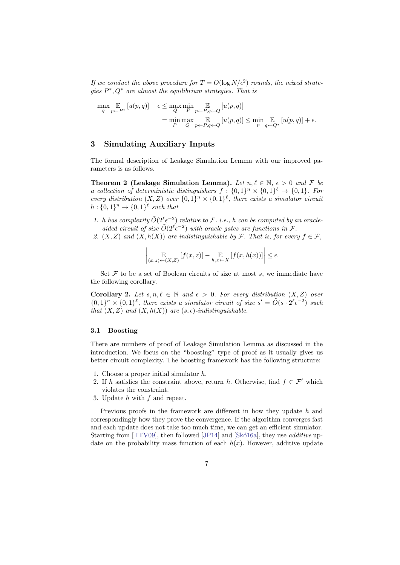If we conduct the above procedure for  $T = O(\log N/\epsilon^2)$  rounds, the mixed strategies  $P^*, Q^*$  are almost the equilibrium strategies. That is

$$
\max_{q} \mathop{\mathbb{E}}_{p \leftarrow P^*} [u(p, q)] - \epsilon \le \max_{Q} \min_{P} \mathop{\mathbb{E}}_{p \leftarrow P, q \leftarrow Q} [u(p, q)]
$$
  
= 
$$
\min_{P} \max_{Q} \mathop{\mathbb{E}}_{p \leftarrow P, q \leftarrow Q} [u(p, q)] \le \min_{p} \mathop{\mathbb{E}}_{q \leftarrow Q^*} [u(p, q)] + \epsilon.
$$

# 3 Simulating Auxiliary Inputs

The formal description of Leakage Simulation Lemma with our improved parameters is as follows.

Theorem 2 (Leakage Simulation Lemma). Let  $n, \ell \in \mathbb{N}, \epsilon > 0$  and F be a collection of deterministic distinguishers  $f: \{0,1\}^n \times \{0,1\}^{\ell} \rightarrow \{0,1\}$ . For every distribution  $(X, Z)$  over  $\{0,1\}^n \times \{0,1\}^{\ell}$ , there exists a simulator circuit  $h: \{0,1\}^n \rightarrow \{0,1\}^{\ell}$  such that

- 1. h has complexity  $\tilde{O}(2^{\ell} \epsilon^{-2})$  relative to F. i.e., h can be computed by an oracleaided circuit of size  $O(2^{\ell} \epsilon^{-2})$  with oracle gates are functions in  $\mathcal{F}$ .
- 2.  $(X, Z)$  and  $(X, h(X))$  are indistinguishable by F. That is, for every  $f \in \mathcal{F}$ ,

$$
\left|\mathop{\mathbb{E}}_{(x,z)\leftarrow(X,Z)}\left[f(x,z)\right]-\mathop{\mathbb{E}}_{h,x\leftarrow X}\left[f(x,h(x))\right]\right|\leq\epsilon.
$$

Set  $F$  to be a set of Boolean circuits of size at most  $s$ , we immediate have the following corollary.

Corollary 2. Let  $s, n, \ell \in \mathbb{N}$  and  $\epsilon > 0$ . For every distribution  $(X, Z)$  over  ${0,1}^n \times {0,1}^{\ell}$ , there exists a simulator circuit of size  $s' = \tilde{O}(s \cdot 2^{\ell} \epsilon^{-2})$  such that  $(X, Z)$  and  $(X, h(X))$  are  $(s, \epsilon)$ -indistinguishable.

#### 3.1 Boosting

There are numbers of proof of Leakage Simulation Lemma as discussed in the introduction. We focus on the "boosting" type of proof as it usually gives us better circuit complexity. The boosting framework has the following structure:

- 1. Choose a proper initial simulator h.
- 2. If h satisfies the constraint above, return h. Otherwise, find  $f \in \mathcal{F}'$  which violates the constraint.
- 3. Update  $h$  with  $f$  and repeat.

Previous proofs in the framework are different in how they update h and correspondingly how they prove the convergence. If the algorithm converges fast and each update does not take too much time, we can get an efficient simulator. Starting from [\[TTV09\]](#page-19-0), then followed [\[JP14\]](#page-18-0) and [Skó16a], they use *additive* update on the probability mass function of each  $h(x)$ . However, additive update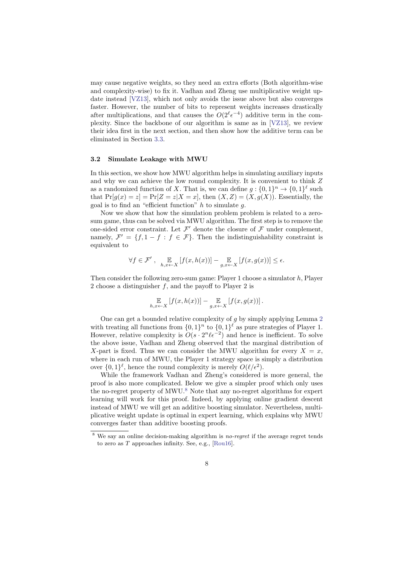may cause negative weights, so they need an extra efforts (Both algorithm-wise and complexity-wise) to fix it. Vadhan and Zheng use multiplicative weight update instead [\[VZ13\]](#page-19-2), which not only avoids the issue above but also converges faster. However, the number of bits to represent weights increases drastically after multiplications, and that causes the  $O(2^{\ell} \epsilon^{-4})$  additive term in the complexity. Since the backbone of our algorithm is same as in [\[VZ13\]](#page-19-2), we review their idea first in the next section, and then show how the additive term can be eliminated in Section [3.3.](#page-9-0)

#### 3.2 Simulate Leakage with MWU

In this section, we show how MWU algorithm helps in simulating auxiliary inputs and why we can achieve the low round complexity. It is convenient to think Z as a randomized function of X. That is, we can define  $g: \{0,1\}^n \to \{0,1\}^{\ell}$  such that  $Pr[g(x) = z] = Pr[Z = z | X = x]$ , then  $(X, Z) = (X, g(X))$ . Essentially, the goal is to find an "efficient function"  $h$  to simulate  $q$ .

Now we show that how the simulation problem problem is related to a zerosum game, thus can be solved via MWU algorithm. The first step is to remove the one-sided error constraint. Let  $\mathcal{F}'$  denote the closure of  $\mathcal{F}$  under complement, namely,  $\mathcal{F}' = \{f, 1 - f : f \in \mathcal{F}\}\.$  Then the indistinguishability constraint is equivalent to

$$
\forall f \in \mathcal{F}', \quad \mathop{\mathbb{E}}_{h,x \leftarrow X} \left[ f(x, h(x)) \right] - \mathop{\mathbb{E}}_{g,x \leftarrow X} \left[ f(x, g(x)) \right] \le \epsilon.
$$

Then consider the following zero-sum game: Player 1 choose a simulator h, Player 2 choose a distinguisher  $f$ , and the payoff to Player 2 is

$$
\mathop{\mathbb{E}}_{h,x \leftarrow X} \left[ f(x, h(x)) \right] - \mathop{\mathbb{E}}_{g,x \leftarrow X} \left[ f(x, g(x)) \right].
$$

One can get a bounded relative complexity of g by simply applying Lemma [2](#page-5-2) with treating all functions from  $\{0,1\}^n$  to  $\{0,1\}^{\ell}$  as pure strategies of Player 1. However, relative complexity is  $O(s \cdot 2^n \ell \epsilon^{-2})$  and hence is inefficient. To solve the above issue, Vadhan and Zheng observed that the marginal distribution of X-part is fixed. Thus we can consider the MWU algorithm for every  $X = x$ , where in each run of MWU, the Player 1 strategy space is simply a distribution over  $\{0,1\}^{\ell}$ , hence the round complexity is merely  $O(\ell/\epsilon^2)$ .

While the framework Vadhan and Zheng's considered is more general, the proof is also more complicated. Below we give a simpler proof which only uses the no-regret property of MWU. $8$  Note that any no-regret algorithms for expert learning will work for this proof. Indeed, by applying online gradient descent instead of MWU we will get an additive boosting simulator. Nevertheless, multiplicative weight update is optimal in expert learning, which explains why MWU converges faster than additive boosting proofs.

<span id="page-7-1"></span><span id="page-7-0"></span> $8$  We say an online decision-making algorithm is *no-regret* if the average regret tends to zero as T approaches infinity. See, e.g., [\[Rou16\]](#page-19-9).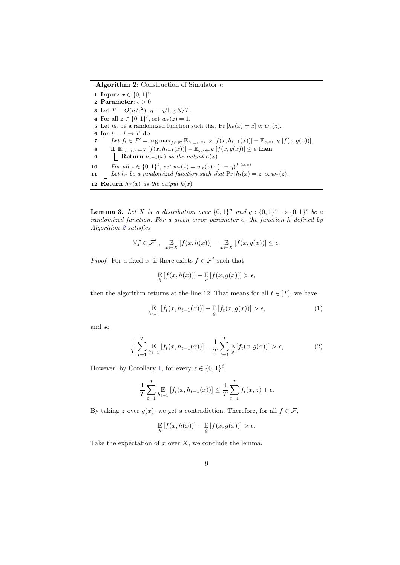Algorithm 2: Construction of Simulator h

1 Input:  $x \in \{0,1\}^n$ 2 Parameter:  $\epsilon > 0$ **3** Let  $T = O(n/\epsilon^2), \eta = \sqrt{\log N/T}.$ 4 For all  $z \in \{0,1\}^{\ell}$ , set  $w_x(z) = 1$ . 5 Let  $h_0$  be a randomized function such that Pr  $[h_0(x) = z] \propto w_x(z)$ . 6 for  $t = 1 \rightarrow T$  do 7  $\left| \right.$  Let  $f_t \in \mathcal{F}' = \arg\max_{f \in \mathcal{F}'} \mathbb{E}_{h_{t-1},x \leftarrow X} \left[ f(x, h_{t-1}(x)) \right] - \mathbb{E}_{g,x \leftarrow X} \left[ f(x, g(x)) \right].$ 8 if  $\mathbb{E}_{h_{t-1},x\leftarrow X} [f(x, h_{t-1}(x))] - \mathbb{E}_{g,x\leftarrow X} [f(x, g(x))] \leq \epsilon$  then 9 | Return  $h_{t-1}(x)$  as the output  $h(x)$ 10 | For all  $z \in \{0,1\}^{\ell}$ , set  $w_x(z) = w_x(z) \cdot (1 - \eta)^{f_t(x,z)}$ 11 Let  $h_t$  be a randomized function such that  $Pr[h_t(x) = z] \propto w_x(z)$ . 12 Return  $h_T(x)$  as the output  $h(x)$ 

**Lemma 3.** Let X be a distribution over  $\{0,1\}^n$  and  $g: \{0,1\}^n \rightarrow \{0,1\}^{\ell}$  be a randomized function. For a given error parameter  $\epsilon$ , the function h defined by Algorithm [2](#page-7-1) satisfies

$$
\forall f \in \mathcal{F}', \quad \mathop{\mathbb{E}}_{x \leftarrow X} \left[ f(x, h(x)) \right] - \mathop{\mathbb{E}}_{x \leftarrow X} \left[ f(x, g(x)) \right] \le \epsilon.
$$

*Proof.* For a fixed x, if there exists  $f \in \mathcal{F}'$  such that

$$
\mathop{\mathbb{E}}_h [f(x, h(x))] - \mathop{\mathbb{E}}_g [f(x, g(x))] > \epsilon,
$$

then the algorithm returns at the line 12. That means for all  $t \in [T]$ , we have

$$
\mathbb{E}_{h_{t-1}}\left[f_t(x, h_{t-1}(x))\right] - \mathbb{E}_{g}\left[f_t(x, g(x))\right] > \epsilon,\tag{1}
$$

and so

$$
\frac{1}{T} \sum_{t=1}^{T} \underset{h_{t-1}}{\mathbb{E}} \left[ f_t(x, h_{t-1}(x)) \right] - \frac{1}{T} \sum_{t=1}^{T} \underset{g}{\mathbb{E}} \left[ f_t(x, g(x)) \right] > \epsilon,
$$
\n(2)

However, by Corollary [1,](#page-5-3) for every  $z \in \{0,1\}^{\ell}$ ,

$$
\frac{1}{T} \sum_{t=1}^{T} \underset{h_{t-1}}{\mathbb{E}} [f_t(x, h_{t-1}(x))] \leq \frac{1}{T} \sum_{t=1}^{T} f_t(x, z) + \epsilon.
$$

By taking z over  $g(x)$ , we get a contradiction. Therefore, for all  $f \in \mathcal{F}$ ,

$$
\mathop{\mathbb{E}}_h [f(x, h(x))] - \mathop{\mathbb{E}}_g [f(x, g(x))] > \epsilon.
$$

Take the expectation of  $x$  over  $X$ , we conclude the lemma.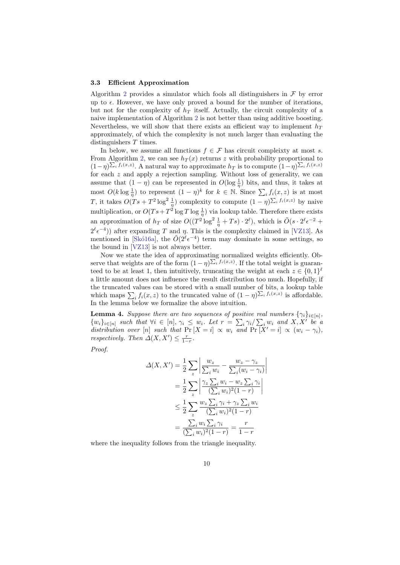#### <span id="page-9-0"></span>3.3 Efficient Approximation

Algorithm [2](#page-7-1) provides a simulator which fools all distinguishers in  $\mathcal F$  by error up to  $\epsilon$ . However, we have only proved a bound for the number of iterations, but not for the complexity of  $h_T$  itself. Actually, the circuit complexity of a naive implementation of Algorithm [2](#page-7-1) is not better than using additive boosting. Nevertheless, we will show that there exists an efficient way to implement  $h_T$ approximately, of which the complexity is not much larger than evaluating the distinguishers  $T$  times.

In below, we assume all functions  $f \in \mathcal{F}$  has circuit compleixty at most s. From Algorithm [2,](#page-7-1) we can see  $h_T(x)$  returns z with probability proportional to  $(1-\eta)^{\sum_i f_i(x,z)}$ . A natural way to approximate  $h_T$  is to compute  $(1-\eta)^{\sum_i f_i(x,z)}$ for each z and apply a rejection sampling. Without loss of generality, we can assume that  $(1 - \eta)$  can be represented in  $O(\log \frac{1}{\eta})$  bits, and thus, it takes at most  $O(k \log \frac{1}{\eta})$  to represent  $(1 - \eta)^k$  for  $k \in \mathbb{N}$ . Since  $\sum_i f_i(x, z)$  is at most T, it takes  $O(Ts + T^2 \log^2 \frac{1}{\eta})$  complexity to compute  $(1 - \eta)^{\sum_i f_i(x,z)}$  by naive multiplication, or  $O(Ts+T^2\log T\log\frac{1}{\eta})$  via lookup table. Therefore there exists an approximation of  $h_T$  of size  $O((T^2 \log^2 \frac{1}{\eta} + Ts) \cdot 2^{\ell})$ , which is  $\tilde{O}(s \cdot 2^{\ell} \epsilon^{-2} +$  $2^{\ell} \epsilon^{-4}$ )) after expanding T and  $\eta$ . This is the complexity claimed in [\[VZ13\]](#page-19-2). As mentioned in [Skó16a], the  $O(2^{\ell} \epsilon^{-4})$  term may dominate in some settings, so the bound in [\[VZ13\]](#page-19-2) is not always better.

Now we state the idea of approximating normalized weights efficiently. Observe that weights are of the form  $(1 - \eta)^{\sum_i f_i(x,z)}$ . If the total weight is guaranteed to be at least 1, then intuitively, truncating the weight at each  $z \in \{0,1\}^{\ell}$ a little amount does not influence the result distribution too much. Hopefully, if the truncated values can be stored with a small number of bits, a lookup table which maps  $\sum_i f_i(x, z)$  to the truncated value of  $(1 - \eta)^{\sum_i f_i(x, z)}$  is affordable. In the lemma below we formalize the above intuition.

**Lemma 4.** Suppose there are two sequences of positive real numbers  $\{\gamma_i\}_{i \in [n]},$  $\{w_i\}_{i\in[n]}$  such that  $\forall i \in [n], \gamma_i \leq w_i$ . Let  $r = \sum_i \gamma_i / \sum_i w_i$  and  $X, X'$  be a distribution over [n] such that  $Pr[X = i] \propto w_i$  and  $Pr[X' = i] \propto (w_i - \gamma_i)$ , respectively. Then  $\Delta(X, X') \leq \frac{r}{1-r}$ .

> $\overline{\phantom{a}}$  $\overline{\phantom{a}}$  $\overline{\phantom{a}}$  $\overline{\phantom{a}}$

Proof.

$$
\Delta(X, X') = \frac{1}{2} \sum_{z} \left| \frac{w_z}{\sum_i w_i} - \frac{w_z - \gamma_z}{\sum_i (w_i - \gamma_i)} \right|
$$
  

$$
= \frac{1}{2} \sum_{z} \left| \frac{\gamma_z \sum_i w_i - w_z \sum_i \gamma_i}{(\sum_i w_i)^2 (1 - r)} \right|
$$
  

$$
\leq \frac{1}{2} \sum_{z} \frac{w_z \sum_i \gamma_i + \gamma_z \sum_i w_i}{(\sum_i w_i)^2 (1 - r)}
$$
  

$$
= \frac{\sum_i w_i \sum_i \gamma_i}{(\sum_i w_i)^2 (1 - r)} = \frac{r}{1 - r}
$$

<span id="page-9-1"></span>where the inequality follows from the triangle inequality.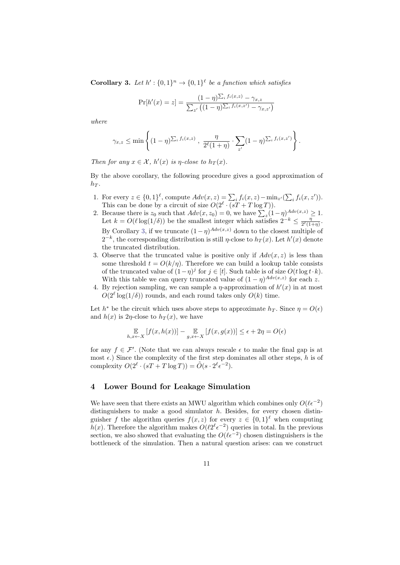**Corollary 3.** Let  $h' : \{0,1\}^n \rightarrow \{0,1\}^{\ell}$  be a function which satisfies

$$
\Pr[h'(x) = z] = \frac{(1 - \eta)\sum_{i} f_i(x, z) - \gamma_{x, z}}{\sum_{z'} ((1 - \eta)\sum_{i} f_i(x, z') - \gamma_{x, z'})}
$$

where

$$
\gamma_{x,z} \leq \min\left\{ (1-\eta)^{\sum_i f_i(x,z)} , \frac{\eta}{2^{\ell}(1+\eta)} \cdot \sum_{z'} (1-\eta)^{\sum_i f_i(x,z')} \right\}.
$$

Then for any  $x \in \mathcal{X}$ ,  $h'(x)$  is  $\eta$ -close to  $h_T(x)$ .

By the above corollary, the following procedure gives a good approximation of  $h_T$ .

- 1. For every  $z \in \{0,1\}^{\ell}$ , compute  $Adv(x, z) = \sum_i f_i(x, z) \min_{z'} (\sum_i f_i(x, z')).$ This can be done by a circuit of size  $O(2^{\ell} \cdot (sT + T \log T)).$
- 2. Because there is  $z_0$  such that  $Adv(x, z_0) = 0$ , we have  $\sum_{z} (1 \eta)^{Adv(x, z)} \geq 1$ . Let  $k = O(\ell \log(1/\delta))$  be the smallest integer which satisfies  $2^{-k} \leq \frac{\eta}{2^{\ell} (1-\delta)}$  $\frac{\eta}{2^{\ell}(1+\eta)}$ . By Corollary [3,](#page-9-1) if we truncate  $(1 - \eta)^{Adv(x,z)}$  down to the closest multiple of  $2^{-k}$ , the corresponding distribution is still  $\eta$ -close to  $h_T(x)$ . Let  $h'(x)$  denote the truncated distribution.
- 3. Observe that the truncated value is positive only if  $Adv(x, z)$  is less than some threshold  $t = O(k/n)$ . Therefore we can build a lookup table consists of the truncated value of  $(1 - \eta)^j$  for  $j \in [t]$ . Such table is of size  $O(t \log t \cdot k)$ . With this table we can query truncated value of  $(1 - \eta)^{Adv(x,z)}$  for each z.
- 4. By rejection sampling, we can sample a  $\eta$ -approximation of  $h'(x)$  in at most  $O(2^{\ell} \log(1/\delta))$  rounds, and each round takes only  $O(k)$  time.

Let  $h^*$  be the circuit which uses above steps to approximate  $h_T$ . Since  $\eta = O(\epsilon)$ and  $h(x)$  is 2η-close to  $h_T(x)$ , we have

$$
\mathop{\mathbb{E}}_{h,x \leftarrow X} \left[ f(x, h(x)) \right] - \mathop{\mathbb{E}}_{g,x \leftarrow X} \left[ f(x, g(x)) \right] \le \epsilon + 2\eta = O(\epsilon)
$$

for any  $f \in \mathcal{F}'$ . (Note that we can always rescale  $\epsilon$  to make the final gap is at most  $\epsilon$ .) Since the complexity of the first step dominates all other steps, h is of complexity  $O(2^{\ell} \cdot (sT + T \log T)) = \tilde{O}(s \cdot 2^{\ell} \epsilon^{-2}).$ 

# 4 Lower Bound for Leakage Simulation

We have seen that there exists an MWU algorithm which combines only  $O(\ell \epsilon^{-2})$ distinguishers to make a good simulator  $h$ . Besides, for every chosen distinguisher f the algorithm queries  $f(x, z)$  for every  $z \in \{0, 1\}^{\ell}$  when computing  $h(x)$ . Therefore the algorithm makes  $O(\ell 2^{\ell} \epsilon^{-2})$  queries in total. In the previous section, we also showed that evaluating the  $O(\ell \epsilon^{-2})$  chosen distinguishers is the bottleneck of the simulation. Then a natural question arises: can we construct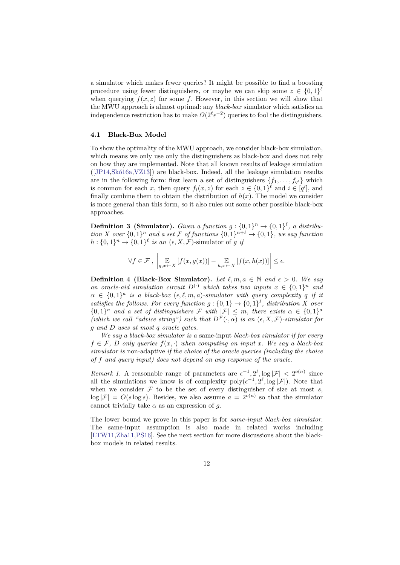a simulator which makes fewer queries? It might be possible to find a boosting procedure using fewer distinguishers, or maybe we can skip some  $z \in \{0,1\}^{\ell}$ when querying  $f(x, z)$  for some f. However, in this section we will show that the MWU approach is almost optimal: any black-box simulator which satisfies an independence restriction has to make  $\Omega(2^{\ell} \epsilon^{-2})$  queries to fool the distinguishers.

### 4.1 Black-Box Model

To show the optimality of the MWU approach, we consider black-box simulation, which means we only use only the distinguishers as black-box and does not rely on how they are implemented. Note that all known results of leakage simulation  $([JP14,Skó16a,VZ13])$  $([JP14,Skó16a,VZ13])$  $([JP14,Skó16a,VZ13])$  $([JP14,Skó16a,VZ13])$  $([JP14,Skó16a,VZ13])$  are black-box. Indeed, all the leakage simulation results are in the following form: first learn a set of distinguishers  $\{f_1, \ldots, f_{q'}\}$  which is common for each x, then query  $f_i(x, z)$  for each  $z \in \{0, 1\}^{\ell}$  and  $i \in [q']$ , and finally combine them to obtain the distribution of  $h(x)$ . The model we consider is more general than this form, so it also rules out some other possible black-box approaches.

**Definition 3 (Simulator).** Given a function  $g: \{0,1\}^n \rightarrow \{0,1\}^{\ell}$ , a distribution X over  $\{0,1\}^n$  and a set F of functions  $\{0,1\}^{n+\ell} \to \{0,1\}$ , we say function  $h: \{0,1\}^n \to \{0,1\}^{\ell}$  is an  $(\epsilon, X, \mathcal{F})$ -simulator of g if

$$
\forall f \in \mathcal{F}, \left| \mathop{\mathbb{E}}_{g,x \leftarrow X} \left[ f(x, g(x)) \right] - \mathop{\mathbb{E}}_{h,x \leftarrow X} \left[ f(x, h(x)) \right] \right| \le \epsilon.
$$

**Definition 4 (Black-Box Simulator).** Let  $\ell, m, a \in \mathbb{N}$  and  $\epsilon > 0$ . We say an oracle-aid simulation circuit  $D^{(\cdot)}$  which takes two inputs  $x \in \{0,1\}^n$  and  $\alpha \in \{0,1\}^a$  is a black-box  $(\epsilon, \ell, m, a)$ -simulator with query complexity q if it satisfies the follows. For every function  $g: \{0,1\} \rightarrow \{0,1\}^{\ell}$ , distribution X over  ${0,1}^n$  and a set of distinguishers F with  $|\mathcal{F}| \leq m$ , there exists  $\alpha \in \{0,1\}^d$ (which we call "advice string") such that  $D^{\mathcal{F}}(\cdot, \alpha)$  is an  $(\epsilon, X, \mathcal{F})$ -simulator for g and D uses at most q oracle gates.

We say a black-box simulator is a same-input black-box simulator if for every  $f \in \mathcal{F}$ , D only queries  $f(x, \cdot)$  when computing on input x. We say a black-box simulator is non-adaptive if the choice of the oracle queries (including the choice of f and query input) does not depend on any response of the oracle.

<span id="page-11-0"></span>Remark 1. A reasonable range of parameters are  $\epsilon^{-1}$ ,  $2^{\ell}$ ,  $\log |\mathcal{F}| < 2^{o(n)}$  since all the simulations we know is of complexity  $\text{poly}(\epsilon^{-1}, 2^{\ell}, \log |\mathcal{F}|)$ . Note that when we consider  $\mathcal F$  to be the set of every distinguisher of size at most s,  $\log |\mathcal{F}| = O(s \log s)$ . Besides, we also assume  $a = 2^{o(n)}$  so that the simulator cannot trivially take  $\alpha$  as an expression of g.

The lower bound we prove in this paper is for *same-input black-box simulator*. The same-input assumption is also made in related works including [\[LTW11](#page-19-5)[,Zha11](#page-19-6)[,PS16\]](#page-19-7). See the next section for more discussions about the blackbox models in related results.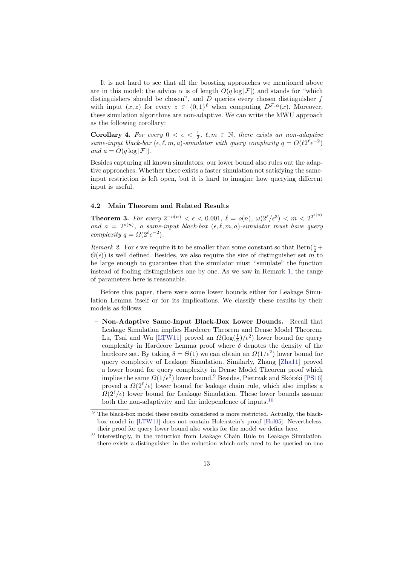It is not hard to see that all the boosting approaches we mentioned above are in this model: the advice  $\alpha$  is of length  $O(q \log |\mathcal{F}|)$  and stands for "which distinguishers should be chosen", and  $D$  queries every chosen distinguisher  $f$ with input  $(x, z)$  for every  $z \in \{0, 1\}^{\ell}$  when computing  $D^{\mathcal{F}, \alpha}(x)$ . Moreover, these simulation algorithms are non-adaptive. We can write the MWU approach as the following corollary:

**Corollary 4.** For every  $0 < \epsilon < \frac{1}{2}$ ,  $\ell, m \in \mathbb{N}$ , there exists an non-adaptive same-input black-box  $(\epsilon, \ell, m, a)$ -simulator with query complexity  $q = O(\ell 2^{\ell} \epsilon^{-2})$ and  $a = \tilde{O}(q \log |\mathcal{F}|).$ 

Besides capturing all known simulators, our lower bound also rules out the adaptive approaches. Whether there exists a faster simulation not satisfying the sameinput restriction is left open, but it is hard to imagine how querying different input is useful.

#### <span id="page-12-0"></span>4.2 Main Theorem and Related Results

<span id="page-12-3"></span>**Theorem 3.** For every  $2^{-o(n)} < \epsilon < 0.001$ ,  $\ell = o(n)$ ,  $\omega(2^{\ell}/\epsilon^3) < m < 2^{2^{o(n)}}$ and  $a = 2^{o(n)}$ , a same-input black-box  $(\epsilon, \ell, m, a)$ -simulator must have query complexity  $q = \Omega(2^{\ell} \epsilon^{-2}).$ 

Remark 2. For  $\epsilon$  we require it to be smaller than some constant so that Bern $(\frac{1}{2} +$  $\Theta(\epsilon)$  is well defined. Besides, we also require the size of distinguisher set m to be large enough to guarantee that the simulator must "simulate" the function instead of fooling distinguishers one by one. As we saw in Remark [1,](#page-11-0) the range of parameters here is reasonable.

Before this paper, there were some lower bounds either for Leakage Simulation Lemma itself or for its implications. We classify these results by their models as follows.

– Non-Adaptive Same-Input Black-Box Lower Bounds. Recall that Leakage Simulation implies Hardcore Theorem and Dense Model Theorem. Lu, Tsai and Wu [\[LTW11\]](#page-19-5) proved an  $\Omega(\log(\frac{1}{\delta})/\epsilon^2)$  lower bound for query complexity in Hardcore Lemma proof where  $\delta$  denotes the density of the hardcore set. By taking  $\delta = \Theta(1)$  we can obtain an  $\Omega(1/\epsilon^2)$  lower bound for query complexity of Leakage Simulation. Similarly, Zhang [\[Zha11\]](#page-19-6) proved a lower bound for query complexity in Dense Model Theorem proof which implies the same  $\Omega(1/\epsilon^2)$  lower bound.<sup>[9](#page-12-1)</sup> Besides, Pietrzak and Skórski [\[PS16\]](#page-19-7) proved a  $\Omega(2^{\ell}/\epsilon)$  lower bound for leakage chain rule, which also implies a  $\Omega(2^{\ell}/\epsilon)$  lower bound for Leakage Simulation. These lower bounds assume both the non-adaptivity and the independence of inputs.<sup>[10](#page-12-2)</sup>

<span id="page-12-1"></span> $9$  The black-box model these results considered is more restricted. Actually, the blackbox model in [\[LTW11\]](#page-19-5) does not contain Holenstein's proof [\[Hol05\]](#page-18-8). Nevertheless, their proof for query lower bound also works for the model we define here.

<span id="page-12-2"></span><sup>&</sup>lt;sup>10</sup> Interestingly, in the reduction from Leakage Chain Rule to Leakage Simulation, there exists a distinguisher in the reduction which only need to be queried on one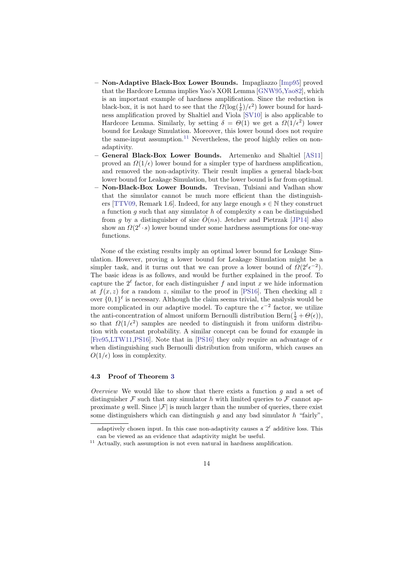- Non-Adaptive Black-Box Lower Bounds. Impagliazzo [\[Imp95\]](#page-18-5) proved that the Hardcore Lemma implies Yao's XOR Lemma [\[GNW95,](#page-18-9)[Yao82\]](#page-19-10), which is an important example of hardness amplification. Since the reduction is black-box, it is not hard to see that the  $\Omega(\log(\frac{1}{\delta})/\epsilon^2)$  lower bound for hardness amplification proved by Shaltiel and Viola [\[SV10\]](#page-19-8) is also applicable to Hardcore Lemma. Similarly, by setting  $\delta = \Theta(1)$  we get a  $\Omega(1/\epsilon^2)$  lower bound for Leakage Simulation. Moreover, this lower bound does not require the same-input assumption.<sup>[11](#page-13-0)</sup> Nevertheless, the proof highly relies on nonadaptivity.
- General Black-Box Lower Bounds. Artemenko and Shaltiel [\[AS11\]](#page-17-0) proved an  $\Omega(1/\epsilon)$  lower bound for a simpler type of hardness amplification, and removed the non-adaptivity. Their result implies a general black-box lower bound for Leakage Simulation, but the lower bound is far from optimal.
- Non-Black-Box Lower Bounds. Trevisan, Tulsiani and Vadhan show that the simulator cannot be much more efficient than the distinguish-ers [\[TTV09,](#page-19-0) Remark 1.6]. Indeed, for any large enough  $s \in \mathbb{N}$  they construct a function g such that any simulator  $h$  of complexity  $s$  can be distinguished from g by a distinguisher of size  $\tilde{O}(ns)$ . Jetchev and Pietrzak [\[JP14\]](#page-18-0) also show an  $\Omega(2^{\ell} \cdot s)$  lower bound under some hardness assumptions for one-way functions.

None of the existing results imply an optimal lower bound for Leakage Simulation. However, proving a lower bound for Leakage Simulation might be a simpler task, and it turns out that we can prove a lower bound of  $\Omega(2^{\ell} \epsilon^{-2})$ . The basic ideas is as follows, and would be further explained in the proof. To capture the  $2^{\ell}$  factor, for each distinguisher f and input x we hide information at  $f(x, z)$  for a random z, similar to the proof in [\[PS16\]](#page-19-7). Then checking all z over  $\{0,1\}^{\ell}$  is necessary. Although the claim seems trivial, the analysis would be more complicated in our adaptive model. To capture the  $\epsilon^{-2}$  factor, we utilize the anti-concentration of almost uniform Bernoulli distribution  $\text{Bern}(\frac{1}{2} + \Theta(\epsilon)),$ so that  $\Omega(1/\epsilon^2)$  samples are needed to distinguish it from uniform distribution with constant probability. A similar concept can be found for example in [Free 95, LTW11, [PS16\]](#page-19-7). Note that in [\[PS16\]](#page-19-7) they only require an advantage of  $\epsilon$ when distinguishing such Bernoulli distribution from uniform, which causes an  $O(1/\epsilon)$  loss in complexity.

## 4.3 Proof of Theorem [3](#page-12-3)

Overview We would like to show that there exists a function  $g$  and a set of distinguisher  $\mathcal F$  such that any simulator h with limited queries to  $\mathcal F$  cannot approximate g well. Since  $|\mathcal{F}|$  is much larger than the number of queries, there exist some distinguishers which can distinguish q and any bad simulator h "fairly",

adaptively chosen input. In this case non-adaptivity causes a  $2^{\ell}$  additive loss. This can be viewed as an evidence that adaptivity might be useful.

<span id="page-13-0"></span> $^{\rm 11}$  Actually, such assumption is not even natural in hardness amplification.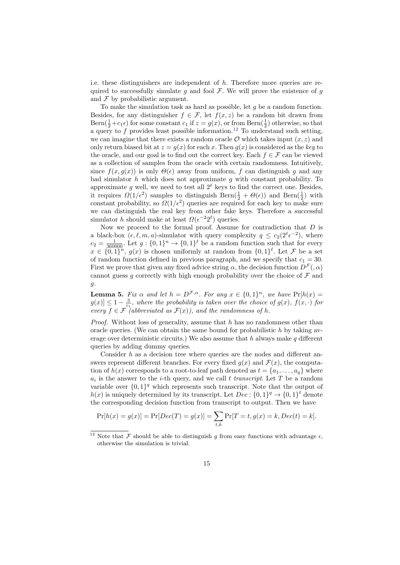i.e. these distinguishers are independent of h. Therefore more queries are required to successfully simulate g and fool  $\mathcal F$ . We will prove the existence of g and  $\mathcal F$  by probabilistic argument.

To make the simulation task as hard as possible, let g be a random function. Besides, for any distinguisher  $f \in \mathcal{F}$ , let  $f(x, z)$  be a random bit drawn from Bern $(\frac{1}{2}+c_1\epsilon)$  for some constant  $c_1$  if  $z=g(x)$ , or from Bern $(\frac{1}{2})$  otherwise, so that a query to  $f$  provides least possible information.<sup>[12](#page-14-0)</sup> To understand such setting, we can imagine that there exists a random oracle  $\mathcal O$  which takes input  $(x, z)$  and only return biased bit at  $z = g(x)$  for each x. Then  $g(x)$  is considered as the key to the oracle, and our goal is to find out the correct key. Each  $f \in \mathcal{F}$  can be viewed as a collection of samples from the oracle with certain randomness. Intuitively, since  $f(x, g(x))$  is only  $\Theta(\epsilon)$  away from uniform, f can distinguish g and any bad simulator  $h$  which does not approximate  $q$  with constant probability. To approximate g well, we need to test all  $2^{\ell}$  keys to find the correct one. Besides, it requires  $\Omega(1/\epsilon^2)$  samples to distinguish Bern $(\frac{1}{2} + \Theta(\epsilon))$  and Bern $(\frac{1}{2})$  with constant probability, so  $\Omega(1/\epsilon^2)$  queries are required for each key to make sure we can distinguish the real key from other fake keys. Therefore a successful simulator h should make at least  $\Omega(\epsilon^{-2} 2^{\ell})$  queries.

Now we proceed to the formal proof. Assume for contradiction that  $D$  is a black-box  $(\epsilon, \ell, m, a)$ -simulator with query complexity  $q \leq c_2(2^{\ell} \epsilon^{-2})$ , where  $c_2 = \frac{1}{360000}$ . Let  $g: \{0, 1\}^n \to \{0, 1\}^{\ell}$  be a random function such that for every  $x \in \{0,1\}^n$ ,  $g(x)$  is chosen uniformly at random from  $\{0,1\}^{\ell}$ . Let F be a set of random function defined in previous paragraph, and we specify that  $c_1 = 30$ . First we prove that given any fixed advice string  $\alpha$ , the decision function  $D^{\mathcal{F}}(0,\alpha)$ cannot guess g correctly with high enough probability over the choice of  $\mathcal F$  and  $q$ .

**Lemma 5.** Fix  $\alpha$  and let  $h = D^{\mathcal{F}, \alpha}$ . For any  $x \in \{0, 1\}^n$ , we have  $\Pr[h(x) =$  $g(x) \leq 1 - \frac{3}{c_1}$ , where the probability is taken over the choice of  $g(x)$ ,  $f(x, \cdot)$  for every  $f \in \mathcal{F}^{\dagger}$  (abbreviated as  $\mathcal{F}(x)$ ), and the randomness of h.

*Proof.* Without loss of generality, assume that  $h$  has no randomness other than oracle queries. (We can obtain the same bound for probabilistic  $h$  by taking average over deterministic circuits.) We also assume that h always make  $q$  different queries by adding dummy queries.

Consider h as a decision tree where queries are the nodes and different answers represent different branches. For every fixed  $g(x)$  and  $\mathcal{F}(x)$ , the computation of  $h(x)$  corresponds to a root-to-leaf path denoted as  $t = \{a_1, \ldots, a_q\}$  where  $a_i$  is the answer to the *i*-th query, and we call t transcript. Let T be a random variable over  $\{0,1\}^q$  which represents such transcript. Note that the output of  $h(x)$  is uniquely determined by its transcript. Let  $Dec: \{0,1\}^q \rightarrow \{0,1\}^{\ell}$  denote the corresponding decision function from transcript to output. Then we have

$$
Pr[h(x) = g(x)] = Pr[Dec(T) = g(x)] = \sum_{t,k} Pr[T = t, g(x) = k, Dec(t) = k].
$$

<span id="page-14-0"></span> $^{12}$  Note that  ${\mathcal F}$  should be able to distinguish  $g$  from easy functions with advantage  $\epsilon,$ otherwise the simulation is trivial.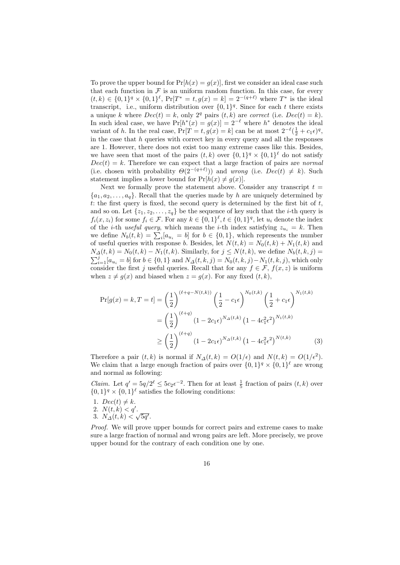To prove the upper bound for  $Pr[h(x) = g(x)]$ , first we consider an ideal case such that each function in  $\mathcal F$  is an uniform random function. In this case, for every  $(t, k) \in \{0, 1\}^q \times \{0, 1\}^{\ell}, \Pr[T^* = t, g(x) = k] = 2^{-(q+\ell)}$  where  $T^*$  is the ideal transcript, i.e., uniform distribution over  $\{0,1\}^q$ . Since for each t there exists a unique k where  $Dec(t) = k$ , only  $2<sup>q</sup>$  pairs  $(t, k)$  are correct (i.e.  $Dec(t) = k$ ). In such ideal case, we have  $Pr[h^*(x) = g(x)] = 2^{-\ell}$  where  $h^*$  denotes the ideal variant of h. In the real case,  $Pr[T = t, g(x) = k]$  can be at most  $2^{-\ell}(\frac{1}{2} + c_1 \epsilon)^q$ , in the case that  $h$  queries with correct key in every query and all the responses are 1. However, there does not exist too many extreme cases like this. Besides, we have seen that most of the pairs  $(t, k)$  over  $\{0, 1\}^q \times \{0, 1\}^{\ell}$  do not satisfy  $Dec(t) = k$ . Therefore we can expect that a large fraction of pairs are normal (i.e. chosen with probability  $\Theta(2^{-(q+\ell)})$ ) and wrong (i.e.  $Dec(t) \neq k$ ). Such statement implies a lower bound for  $Pr[h(x) \neq q(x)].$ 

Next we formally prove the statement above. Consider any transcript  $t =$  ${a_1, a_2, \ldots, a_q}$ . Recall that the queries made by h are uniquely determined by t: the first query is fixed, the second query is determined by the first bit of  $t$ , and so on. Let  $\{z_1, z_2, \ldots, z_q\}$  be the sequence of key such that the *i*-th query is  $f_i(x, z_i)$  for some  $f_i \in \mathcal{F}$ . For any  $k \in \{0, 1\}^{\ell}, t \in \{0, 1\}^q$ , let  $u_i$  denote the index of the *i*-th useful query, which means the *i*-th index satisfying  $z_{u_i} = k$ . Then we define  $N_b(t, k) = \sum_i [a_{u_i} = b]$  for  $b \in \{0, 1\}$ , which represents the number of useful queries with response b. Besides, let  $N(t, k) = N_0(t, k) + N_1(t, k)$  and  $N_{\Delta}(t, k) = N_0(t, k) - N_1(t, k)$ . Similarly, for  $j \leq N(t, k)$ , we define  $N_b(t, k, j)$  $\sum_{i=1}^{j} [a_{u_i} = b]$  for  $b \in \{0, 1\}$  and  $N_{\Delta}(t, k, j) = N_0(t, k, j) - N_1(t, k, j)$ , which only consider the first j useful queries. Recall that for any  $f \in \mathcal{F}$ ,  $f(x, z)$  is uniform when  $z \neq g(x)$  and biased when  $z = g(x)$ . For any fixed  $(t, k)$ ,

<span id="page-15-0"></span>
$$
\Pr[g(x) = k, T = t] = \left(\frac{1}{2}\right)^{(\ell+q-N(t,k))} \left(\frac{1}{2} - c_1 \epsilon\right)^{N_0(t,k)} \left(\frac{1}{2} + c_1 \epsilon\right)^{N_1(t,k)}
$$

$$
= \left(\frac{1}{2}\right)^{(\ell+q)} (1 - 2c_1 \epsilon)^{N_\Delta(t,k)} (1 - 4c_1^2 \epsilon^2)^{N_1(t,k)}
$$

$$
\geq \left(\frac{1}{2}\right)^{(\ell+q)} (1 - 2c_1 \epsilon)^{N_\Delta(t,k)} (1 - 4c_1^2 \epsilon^2)^{N(t,k)} \tag{3}
$$

Therefore a pair  $(t, k)$  is normal if  $N_{\Delta}(t, k) = O(1/\epsilon)$  and  $N(t, k) = O(1/\epsilon^2)$ . We claim that a large enough fraction of pairs over  $\{0,1\}^q \times \{0,1\}^{\ell}$  are wrong and normal as following:

*Claim.* Let  $q' = 5q/2^{\ell} \le 5c_2\epsilon^{-2}$ . Then for at least  $\frac{1}{5}$  fraction of pairs  $(t, k)$  over  $\{0,1\}^q \times \{0,1\}^{\ell}$  satisfies the following conditions:

- 1.  $Dec(t) \neq k$ .
- 2.  $N(t, k) < q'$ .
- 2.  $N(t, k) < q$ .<br>3.  $N_{\Delta}(t, k) < \sqrt{5q'}$ .

Proof. We will prove upper bounds for correct pairs and extreme cases to make sure a large fraction of normal and wrong pairs are left. More precisely, we prove upper bound for the contrary of each condition one by one.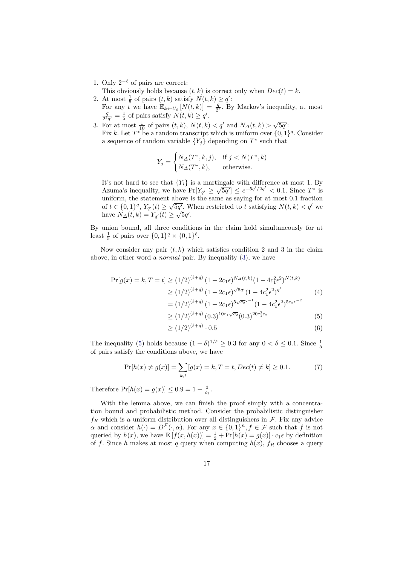- 1. Only  $2^{-\ell}$  of pairs are correct:
- This obviously holds because  $(t, k)$  is correct only when  $Dec(t) = k$ .
- 2. At most  $\frac{1}{5}$  of pairs  $(t, k)$  satisfy  $N(t, k) \geq q'$ : For any t we have  $\mathbb{E}_{k \leftarrow U_{\ell}}[N(t, k)] = \frac{q}{2^{\ell}}$ . By Markov's inequality, at most  $q = 1$  of pairs satisfy  $N(t, k) > \alpha'$  $\frac{q}{2^2q'} = \frac{1}{5}$  of pairs satisfy  $N(t, k) \ge q'$ .
- 3. For at most  $\frac{1}{10}$  of pairs  $(t, k)$ ,  $N(t, k) < q'$  and  $N_{\Delta}(t, k) > \sqrt{5q'}$ : Fix k. Let  $T^*$  be a random transcript which is uniform over  $\{0,1\}^q$ . Consider a sequence of random variable  $\{Y_j\}$  depending on  $T^*$  such that

$$
Y_j = \begin{cases} N_{\Delta}(T^*, k, j), & \text{if } j < N(T^*, k) \\ N_{\Delta}(T^*, k), & \text{otherwise.} \end{cases}
$$

It's not hard to see that  ${Y<sub>i</sub>}$  is a martingale with difference at most 1. By Azuma's inequality, we have  $Pr[Y_{q'} \ge \sqrt{5q'}] \le e^{-5q'/2q'} < 0.1$ . Since  $T^*$  is uniform, the statement above is the same as saying for at most 0.1 fraction of  $t \in \{0,1\}^q$ ,  $Y_{q'}(t) \geq \sqrt{5q'}$ . When restricted to t satisfying  $N(t, k) < q'$  we have  $N_{\Delta}(t, k) = Y_{q'}(t) \ge \sqrt{5q'}$ .

By union bound, all three conditions in the claim hold simultaneously for at least  $\frac{1}{5}$  of pairs over  $\{0,1\}^q \times \{0,1\}^{\ell}$ .

Now consider any pair  $(t, k)$  which satisfies condition 2 and 3 in the claim above, in other word a normal pair. By inequality [\(3\)](#page-15-0), we have

$$
\Pr[g(x) = k, T = t] \ge (1/2)^{(\ell+q)} (1 - 2c_1 \epsilon)^{N_{\Delta}(t,k)} (1 - 4c_1^2 \epsilon^2)^{N(t,k)}
$$
  
\n
$$
\ge (1/2)^{(\ell+q)} (1 - 2c_1 \epsilon)^{\sqrt{5q'}} (1 - 4c_1^2 \epsilon^2)^{q'}
$$
  
\n
$$
= (1/2)^{(\ell+q)} (1 - 2c_1 \epsilon)^{5\sqrt{c_2}\epsilon^{-1}} (1 - 4c_1^2 \epsilon^2)^{5c_2\epsilon^{-2}}
$$
  
\n
$$
\ge (1/2)^{(\ell+q)} (0.3)^{10c_1\sqrt{c_2}} (0.3)^{20c_1^2 c_2}
$$
 (5)

<span id="page-16-0"></span>
$$
\geq (1/2)^{(\ell+q)} \cdot 0.5\tag{6}
$$

The inequality [\(5\)](#page-16-0) holds because  $(1 - \delta)^{1/\delta} \ge 0.3$  for any  $0 < \delta \le 0.1$ . Since  $\frac{1}{5}$ of pairs satisfy the conditions above, we have

$$
\Pr[h(x) \neq g(x)] = \sum_{k,t} [g(x) = k, T = t, Dec(t) \neq k] \ge 0.1.
$$
 (7)

Therefore  $Pr[h(x) = g(x)] \le 0.9 = 1 - \frac{3}{c_1}.$ 

With the lemma above, we can finish the proof simply with a concentration bound and probabilistic method. Consider the probabilistic distinguisher  $f_R$  which is a uniform distribution over all distinguishers in  $\mathcal F$ . Fix any advice  $\alpha$  and consider  $h(\cdot) = D^{\mathcal{F}}(\cdot, \alpha)$ . For any  $x \in \{0, 1\}^n, f \in \mathcal{F}$  such that f is not queried by  $h(x)$ , we have  $\mathbb{E}[f(x, h(x))] = \frac{1}{2} + \Pr[h(x) = g(x)] \cdot c_1 \epsilon$  by definition of f. Since h makes at most q query when computing  $h(x)$ ,  $f_R$  chooses a query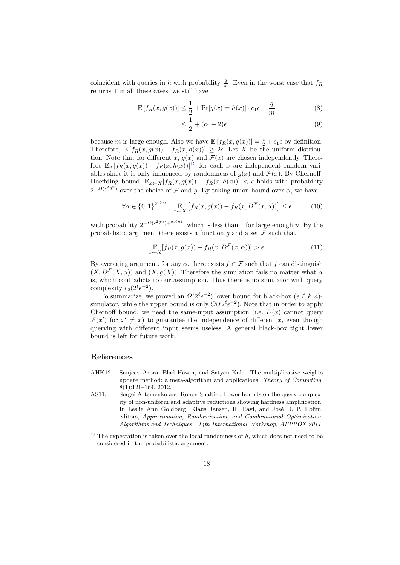coincident with queries in h with probability  $\frac{q}{m}$ . Even in the worst case that  $f_R$ returns 1 in all these cases, we still have

$$
\mathbb{E}\left[f_R(x,g(x))\right] \le \frac{1}{2} + \Pr[g(x) = h(x)] \cdot c_1 \epsilon + \frac{q}{m} \tag{8}
$$

$$
\leq \frac{1}{2} + (c_1 - 2)\epsilon \tag{9}
$$

because m is large enough. Also we have  $\mathbb{E}[f_R(x, g(x))] = \frac{1}{2} + c_1 \epsilon$  by definition. Therefore,  $\mathbb{E}[f_R(x,g(x)) - f_R(x,h(x))] \geq 2\epsilon$ . Let X be the uniform distribution. Note that for different x,  $g(x)$  and  $\mathcal{F}(x)$  are chosen independently. Therefore  $\mathbb{E}_h [f_R(x, g(x)) - f_R(x, h(x))]^{13}$  $\mathbb{E}_h [f_R(x, g(x)) - f_R(x, h(x))]^{13}$  $\mathbb{E}_h [f_R(x, g(x)) - f_R(x, h(x))]^{13}$  for each x are independent random variables since it is only influenced by randomness of  $g(x)$  and  $\mathcal{F}(x)$ . By Chernoff-Hoeffding bound,  $\mathbb{E}_{x \leftarrow X}[f_R(x, g(x)) - f_R(x, h(x))] < \epsilon$  holds with probability  $2^{-\Omega(\epsilon^2 2^n)}$  over the choice of F and g. By taking union bound over  $\alpha$ , we have

$$
\forall \alpha \in \{0,1\}^{2^{o(n)}}, \mathbb{E}_{x \leftarrow X} \left[ f_R(x, g(x)) - f_R(x, D^{\mathcal{F}}(x, \alpha)) \right] \le \epsilon \tag{10}
$$

with probability  $2^{-\Omega(\epsilon^2 2^n) + 2^{o(n)}}$ , which is less than 1 for large enough n. By the probabilistic argument there exists a function  $g$  and a set  $\mathcal F$  such that

$$
\mathbb{E}_{x \leftarrow X} [f_R(x, g(x)) - f_R(x, D^{\mathcal{F}}(x, \alpha))] > \epsilon.
$$
\n(11)

By averaging argument, for any  $\alpha$ , there exists  $f \in \mathcal{F}$  such that f can distinguish  $(X, D^{\mathcal{F}}(X, \alpha))$  and  $(X, g(X))$ . Therefore the simulation fails no matter what  $\alpha$ is, which contradicts to our assumption. Thus there is no simulator with query complexity  $c_2(2^{\ell} \epsilon^{-2})$ .

To summarize, we proved an  $\Omega(2^{\ell} \epsilon^{-2})$  lower bound for black-box  $(\epsilon, \ell, k, a)$ simulator, while the upper bound is only  $O(\ell 2^{\ell} \epsilon^{-2})$ . Note that in order to apply Chernoff bound, we need the same-input assumption (i.e.  $D(x)$  cannot query  $\mathcal{F}(x')$  for  $x' \neq x$ ) to guarantee the independence of different x, even though querying with different input seems useless. A general black-box tight lower bound is left for future work.

# References

- <span id="page-17-1"></span>AHK12. Sanjeev Arora, Elad Hazan, and Satyen Kale. The multiplicative weights update method: a meta-algorithm and applications. Theory of Computing, 8(1):121–164, 2012.
- <span id="page-17-0"></span>AS11. Sergei Artemenko and Ronen Shaltiel. Lower bounds on the query complexity of non-uniform and adaptive reductions showing hardness amplification. In Leslie Ann Goldberg, Klaus Jansen, R. Ravi, and José D. P. Rolim, editors, Approximation, Randomization, and Combinatorial Optimization. Algorithms and Techniques - 14th International Workshop, APPROX 2011,

<span id="page-17-2"></span> $^{13}$  The expectation is taken over the local randomness of  $h$ , which does not need to be considered in the probabilistic argument.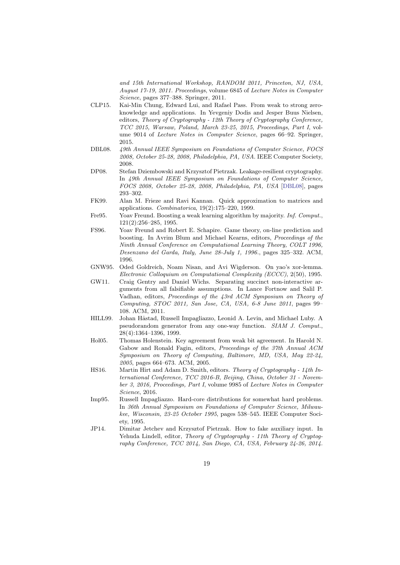and 15th International Workshop, RANDOM 2011, Princeton, NJ, USA, August 17-19, 2011. Proceedings, volume 6845 of Lecture Notes in Computer Science, pages 377–388. Springer, 2011.

- <span id="page-18-2"></span>CLP15. Kai-Min Chung, Edward Lui, and Rafael Pass. From weak to strong zeroknowledge and applications. In Yevgeniy Dodis and Jesper Buus Nielsen, editors, Theory of Cryptography - 12th Theory of Cryptography Conference, TCC 2015, Warsaw, Poland, March 23-25, 2015, Proceedings, Part I, volume 9014 of Lecture Notes in Computer Science, pages 66–92. Springer, 2015.
- <span id="page-18-11"></span>DBL08. 49th Annual IEEE Symposium on Foundations of Computer Science, FOCS 2008, October 25-28, 2008, Philadelphia, PA, USA. IEEE Computer Society, 2008.
- <span id="page-18-1"></span>DP08. Stefan Dziembowski and Krzysztof Pietrzak. Leakage-resilient cryptography. In 49th Annual IEEE Symposium on Foundations of Computer Science, FOCS 2008, October 25-28, 2008, Philadelphia, PA, USA [\[DBL08\]](#page-18-11), pages 293–302.
- <span id="page-18-6"></span>FK99. Alan M. Frieze and Ravi Kannan. Quick approximation to matrices and applications. Combinatorica, 19(2):175–220, 1999.
- <span id="page-18-10"></span>Fre95. Yoav Freund. Boosting a weak learning algorithm by majority. *Inf. Comput.*, 121(2):256–285, 1995.
- <span id="page-18-7"></span>FS96. Yoav Freund and Robert E. Schapire. Game theory, on-line prediction and boosting. In Avrim Blum and Michael Kearns, editors, Proceedings of the Ninth Annual Conference on Computational Learning Theory, COLT 1996, Desenzano del Garda, Italy, June 28-July 1, 1996., pages 325–332. ACM, 1996.
- <span id="page-18-9"></span>GNW95. Oded Goldreich, Noam Nisan, and Avi Wigderson. On yao's xor-lemma. Electronic Colloquium on Computational Complexity (ECCC), 2(50), 1995.
- <span id="page-18-3"></span>GW11. Craig Gentry and Daniel Wichs. Separating succinct non-interactive arguments from all falsifiable assumptions. In Lance Fortnow and Salil P. Vadhan, editors, Proceedings of the 43rd ACM Symposium on Theory of Computing, STOC 2011, San Jose, CA, USA, 6-8 June 2011, pages 99– 108. ACM, 2011.
- <span id="page-18-4"></span>HILL99. Johan Håstad, Russell Impagliazzo, Leonid A. Levin, and Michael Luby. A pseudorandom generator from any one-way function. SIAM J. Comput., 28(4):1364–1396, 1999.
- <span id="page-18-8"></span>Hol05. Thomas Holenstein. Key agreement from weak bit agreement. In Harold N. Gabow and Ronald Fagin, editors, Proceedings of the 37th Annual ACM Symposium on Theory of Computing, Baltimore, MD, USA, May 22-24, 2005, pages 664–673. ACM, 2005.
- <span id="page-18-12"></span>HS16. Martin Hirt and Adam D. Smith, editors. Theory of Cryptography - 14th International Conference, TCC 2016-B, Beijing, China, October 31 - November 3, 2016, Proceedings, Part I, volume 9985 of Lecture Notes in Computer Science, 2016.
- <span id="page-18-5"></span>Imp95. Russell Impagliazzo. Hard-core distributions for somewhat hard problems. In 36th Annual Symposium on Foundations of Computer Science, Milwaukee, Wisconsin, 23-25 October 1995, pages 538–545. IEEE Computer Society, 1995.
- <span id="page-18-0"></span>JP14. Dimitar Jetchev and Krzysztof Pietrzak. How to fake auxiliary input. In Yehuda Lindell, editor, Theory of Cryptography - 11th Theory of Cryptography Conference, TCC 2014, San Diego, CA, USA, February 24-26, 2014.